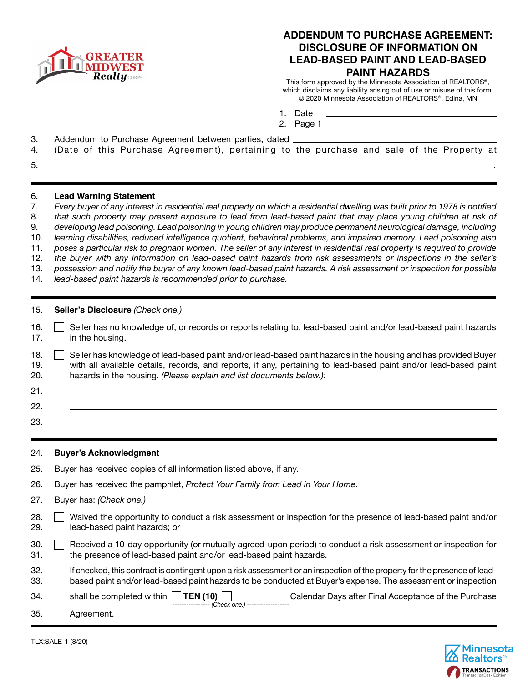

## **ADDENDUM TO PURCHASE AGREEMENT: DISCLOSURE OF INFORMATION ON LEAD-BASED PAINT AND LEAD-BASED PAINT HAZARDS**

This form approved by the Minnesota Association of REALTORS®, which disclaims any liability arising out of use or misuse of this form. © 2020 Minnesota Association of REALTORS®, Edina, MN

- 1. Date
- 2. Page 1
- 3. Addendum to Purchase Agreement between parties, dated
- 4. (Date of this Purchase Agreement), pertaining to the purchase and sale of the Property at
- 5. .

### 6. **Lead Warning Statement**

- 7. *Every buyer of any interest in residential real property on which a residential dwelling was built prior to 1978 is notified*
- 8. *that such property may present exposure to lead from lead-based paint that may place young children at risk of*
- 9. *developing lead poisoning. Lead poisoning in young children may produce permanent neurological damage, including*
- 10. *learning disabilities, reduced intelligence quotient, behavioral problems, and impaired memory. Lead poisoning also*
- 11. *poses a particular risk to pregnant women. The seller of any interest in residential real property is required to provide*  12. *the buyer with any information on lead-based paint hazards from risk assessments or inspections in the seller's*
- 13. *possession and notify the buyer of any known lead-based paint hazards. A risk assessment or inspection for possible*
- 14. *lead-based paint hazards is recommended prior to purchase.*
- 15. **Seller's Disclosure** (Check one.)
- 16. **Seller has no knowledge of, or records or reports relating to, lead-based paint and/or lead-based paint hazards** 17. in the housing.
- 18. Seller has knowledge of lead-based paint and/or lead-based paint hazards in the housing and has provided Buyer 19. with all available details, records, and reports, if any, pertaining to lead-based paint and/or lead-based paint 20. hazards in the housing. *(Please explain and list documents below.):*
- 21. 22.
	- 23.

## 24. **Buyer's Acknowledgment**

- 25. Buyer has received copies of all information listed above, if any.
- 26. Buyer has received the pamphlet, *Protect Your Family from Lead in Your Home*.
- 27. Buyer has: *(Check one.)*
- 28. Waived the opportunity to conduct a risk assessment or inspection for the presence of lead-based paint and/or 29. lead-based paint hazards; or
- 30. Received a 10-day opportunity (or mutually agreed-upon period) to conduct a risk assessment or inspection for 31. the presence of lead-based paint and/or lead-based paint hazards.
- 32. If checked, this contract is contingent upon a risk assessment or an inspection of the property for the presence of lead-33. based paint and/or lead-based paint hazards to be conducted at Buyer's expense. The assessment or inspection

34. shall be completed within **TEN (10)** Calendar Days after Final Acceptance of the Purchase ---------------- *(Check one.)* ------------------

35. Agreement.